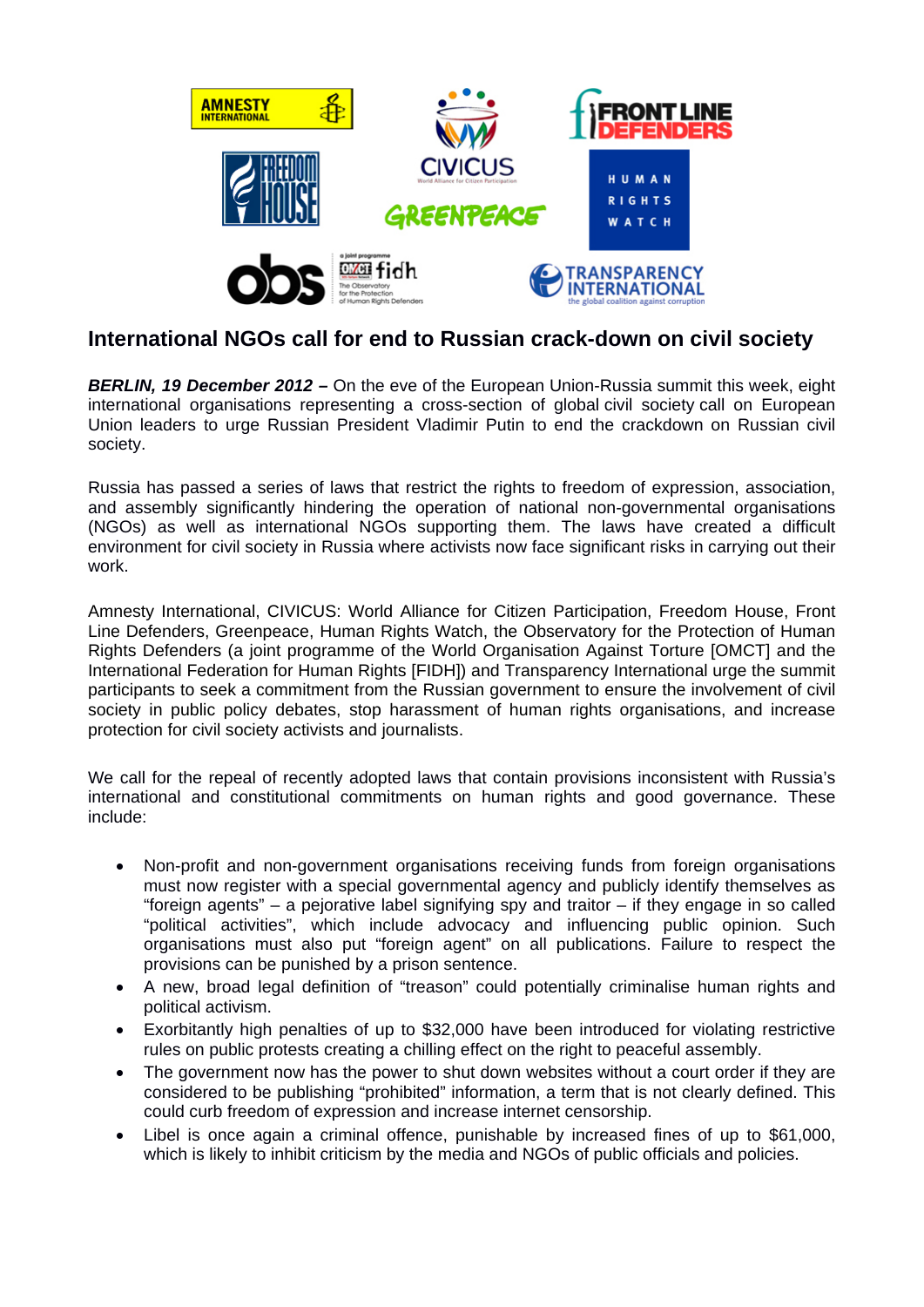

# **International NGOs call for end to Russian crack-down on civil society**

*BERLIN, 19 December 2012 –* On the eve of the European Union-Russia summit this week, eight international organisations representing a cross-section of global civil society call on European Union leaders to urge Russian President Vladimir Putin to end the crackdown on Russian civil society.

Russia has passed a series of laws that restrict the rights to freedom of expression, association, and assembly significantly hindering the operation of national non-governmental organisations (NGOs) as well as international NGOs supporting them. The laws have created a difficult environment for civil society in Russia where activists now face significant risks in carrying out their work.

Amnesty International, CIVICUS: World Alliance for Citizen Participation, Freedom House, Front Line Defenders, Greenpeace, Human Rights Watch, the Observatory for the Protection of Human Rights Defenders (a joint programme of the World Organisation Against Torture [OMCT] and the International Federation for Human Rights [FIDH]) and Transparency International urge the summit participants to seek a commitment from the Russian government to ensure the involvement of civil society in public policy debates, stop harassment of human rights organisations, and increase protection for civil society activists and journalists.

We call for the repeal of recently adopted laws that contain provisions inconsistent with Russia's international and constitutional commitments on human rights and good governance. These include:

- Non-profit and non-government organisations receiving funds from foreign organisations must now register with a special governmental agency and publicly identify themselves as "foreign agents" – a pejorative label signifying spy and traitor – if they engage in so called "political activities", which include advocacy and influencing public opinion. Such organisations must also put "foreign agent" on all publications. Failure to respect the provisions can be punished by a prison sentence.
- A new, broad legal definition of "treason" could potentially criminalise human rights and political activism.
- Exorbitantly high penalties of up to \$32,000 have been introduced for violating restrictive rules on public protests creating a chilling effect on the right to peaceful assembly.
- The government now has the power to shut down websites without a court order if they are considered to be publishing "prohibited" information, a term that is not clearly defined. This could curb freedom of expression and increase internet censorship.
- Libel is once again a criminal offence, punishable by increased fines of up to \$61,000, which is likely to inhibit criticism by the media and NGOs of public officials and policies.